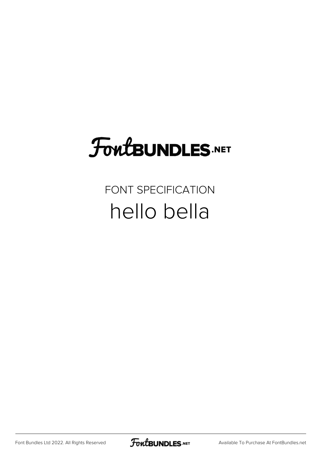### FoutBUNDLES.NET

#### FONT SPECIFICATION hello bella

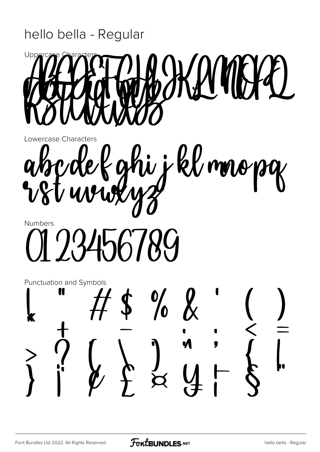#### hello bella - Regular



Lowercase Characters

i i kl mopg **Numbers** 

23456789

Punctuation and Symbols  $\frac{0}{0}$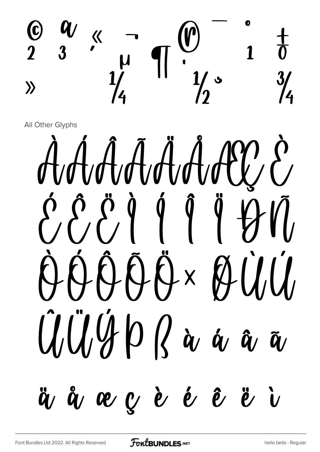

AAAĀÄAAAV  $\{ \hat{f}, \hat{f}, \hat{f} \}$   $\{ \hat{f}, \hat{f} \}$ QQQQA ØUU  $\ddot{U}/\ddot{U}/\ddot{U}$   $\rho$   $\ddot{\alpha}$   $\ddot{\alpha}$   $\ddot{\alpha}$ ä å æ ç è é ê ë i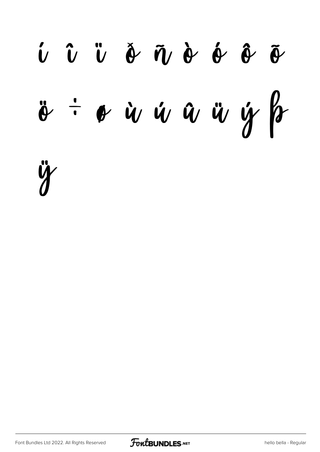UÛÜ DÃND Ó Ô  $\frac{1}{2}$  or in the set of the set of the set of the set of the set of the set of the set of the set of the set of the set of the set of the set of the set of the set of the set of the set of the set of the set of the set



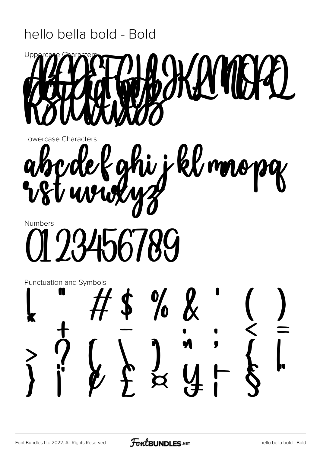#### hello bella bold - Bold



Lowercase Characters

kl mapy j, j **Numbers** 

6789

Punctuation and Symbols  $\boldsymbol{k}$  $\frac{1}{6}$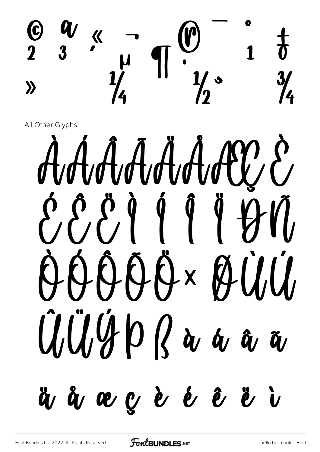

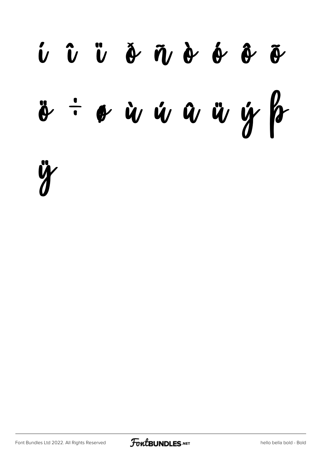

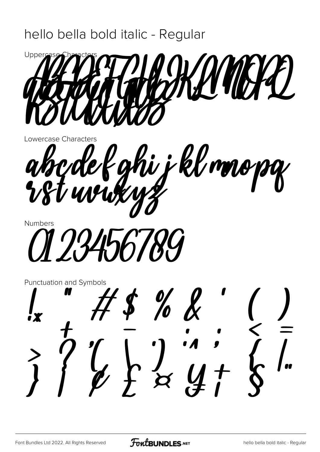#### hello bella bold italic - Regular



Lowercase Characters

hi i klmopg ak



Punctuation and Symbols

 $\frac{\partial}{\partial \theta}$  $\frac{1}{2}$  $\bigcup_{\ell}\bigcup_{\mathsf{X}}\bigcup_{\mathsf{X}}$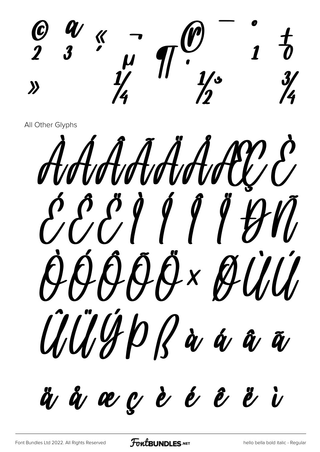$1<sup>1</sup>$  $\frac{3}{4}$  $\lambda$ 

AAAAAAAW 88999999 QQQQQxQUU UIUHDRà a a ä å æ ç è é ê ë i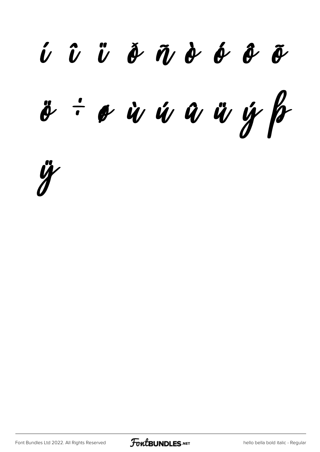*í î ï ð ñ ò ó ô õ ö ÷ ø ù ú û ü ý þ*

*ÿ*

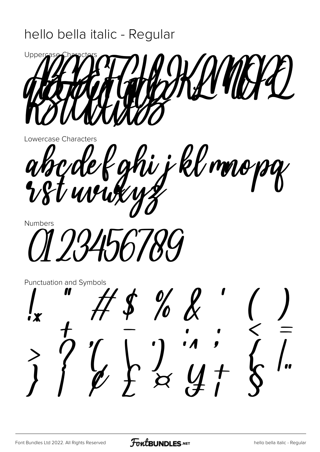#### hello bella italic - Regular



Lowercase Characters

hi j kl mnopy ak<br>Vs  $\frac{\partial}{\partial x}$ 



Punctuation and Symbols

 $\frac{0}{0}$  $\overline{\begin{matrix} 1 & 1 \\ 1 & 1 \end{matrix}}$  $\mathcal{L}_{\ell}$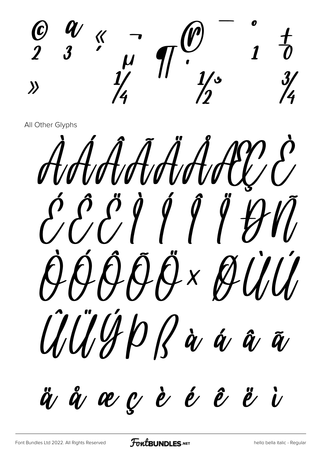$1\frac{f}{\theta}$  $\frac{3}{4}$  $\left\langle \right\rangle$ 

AAAAAAAECC CCC/11141 OQOQX ØUU all/GpRà a â a

ä å æ ç è é ê ë i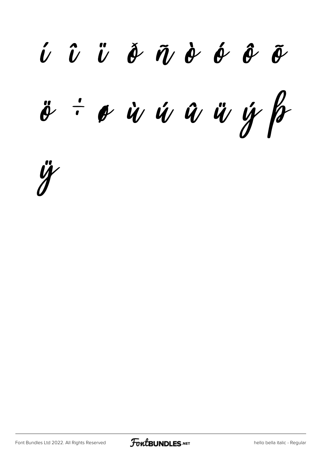*í î ï ð ñ ò ó ô õ ö ÷ ø ù ú û ü ý þ*

*ÿ*

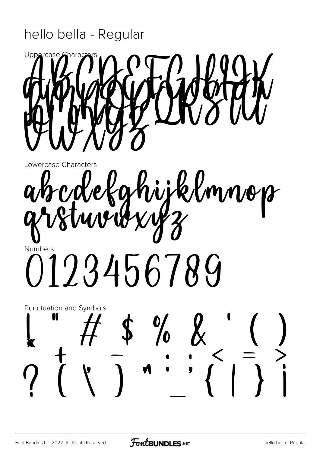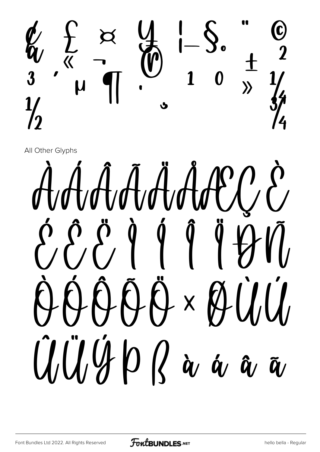

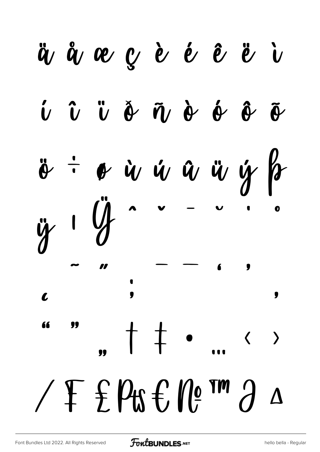ä å æ ç è é ê ë i  $\hat{U}$   $\hat{U}$   $\hat{U}$   $\hat{\theta}$   $\hat{\theta}$   $\hat{\theta}$   $\hat{\theta}$   $\hat{\theta}$  $\tilde{\theta}$  $\boldsymbol{\phi}$  is  $\boldsymbol{\psi}$  is  $\boldsymbol{\psi}$  if  $\boldsymbol{\psi}$  $\ddot{\theta}$  $\mathbf o$ 11  $\bullet$ l. 66  $\downarrow$  $\rightarrow$  $\bigg\langle$  $\angle$  F f Pts f, Ne TM  $\partial$  $\Delta$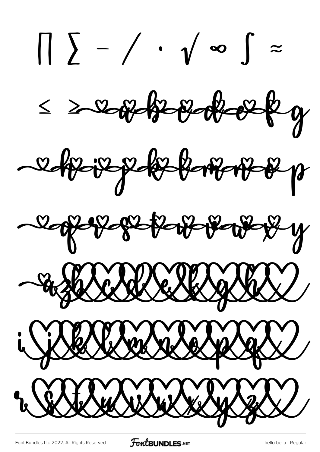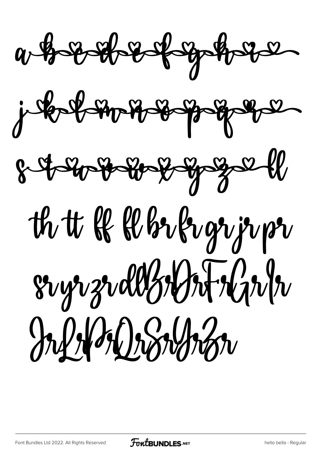



# th tt & Whiligrip pr  $8\nu$ gr zrdbzzyzi+zgr/z Information

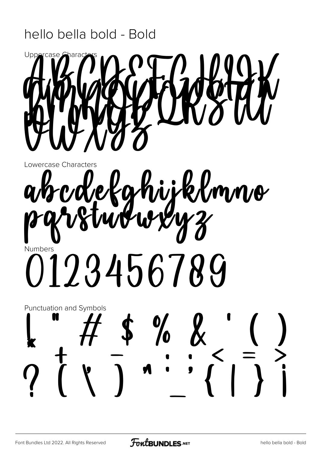#### hello bella bold - Bold



Lowercase Characters

### rdekahijklmno Numbers 0123456789

## **Punctuation and Symbols**  $\frac{1}{6}$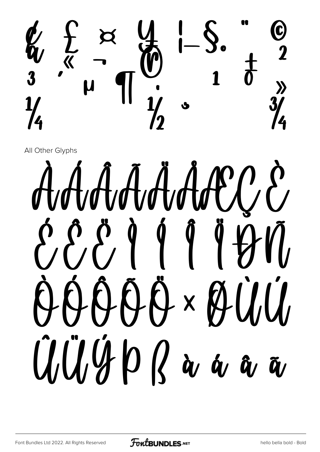

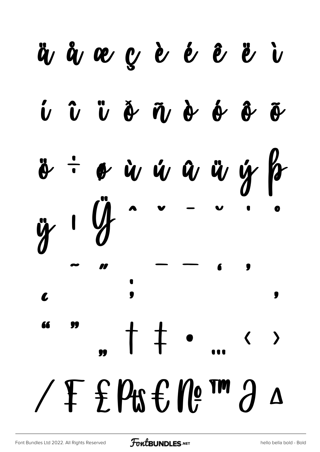ävåvægèéê ë  $\hat{U}$   $\hat{U}$   $\hat{U}$   $\hat{\Phi}$   $\hat{U}$   $\hat{\Phi}$   $\hat{\Phi}$   $\hat{\Phi}$  $\tilde{\theta}$ o ù ú û ü ý þ Œ  $\bullet$ 71  $\downarrow$  $\mathsf T$  $\rightarrow$  $\blacklozenge$  $\angle$  F f Pts f, Ne  $m \partial$  $\Delta$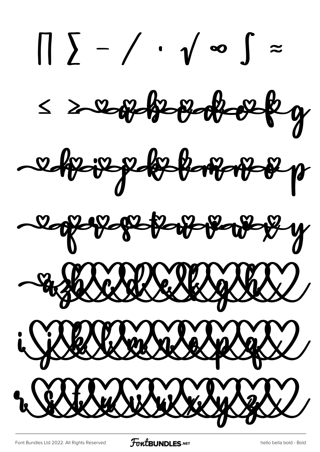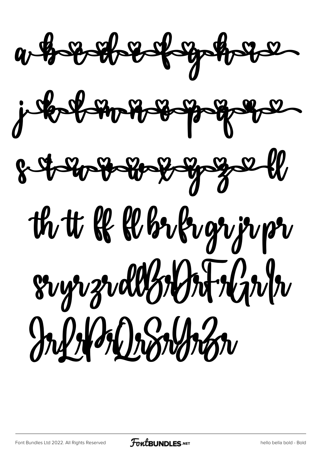$a + b + b + c + c + d - d - d$ 





# th tt & & br frozrjupr  $8\nu$ greddydd Alaby Information

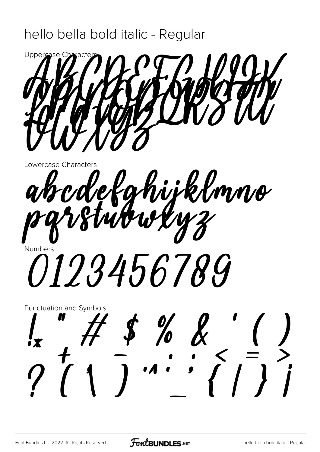#### hello bella bold italic - Regular



Lowercase Characters

akcdekghijklmno *0123456789* 

**Punctuation and Symbols**  $\frac{\%}{\%}$   $\frac{\%}{\%}$   $\frac{\%}{\%}$   $\frac{\%}{\%}$   $\frac{\%}{\%}$   $\frac{\%}{\%}$   $\frac{\%}{\%}$   $\frac{\%}{\%}$   $\frac{\%}{\%}$   $\frac{\%}{\%}$   $\frac{\%}{\%}$   $\frac{\%}{\%}$   $\frac{\%}{\%}$   $\frac{\%}{\%}$   $\frac{\%}{\%}$   $\frac{\%}{\%}$   $\frac{\%}{\%}$   $\frac{\%}{\%}$   $\frac{\%}{\%}$   $\frac{\%}{\%}$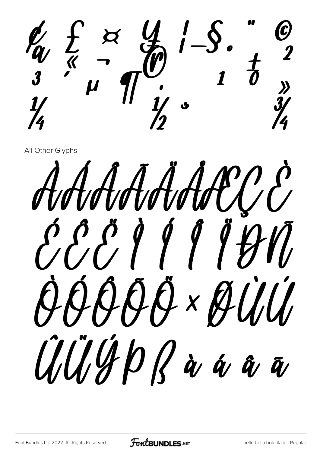$\bm{\mathcal{F}}_{\bm{\mathcal{S}}}^{(V)}$ 

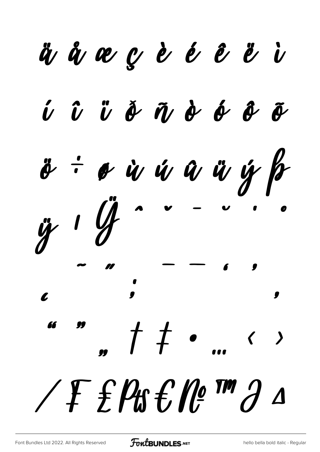ävåvægèéê ë  $\hat{U}$   $\hat{U}$   $\hat{U}$   $\hat{\theta}$   $\hat{\theta}$   $\hat{\theta}$   $\hat{\theta}$   $\hat{\theta}$  $\tilde{\theta}$  $\ddot{\theta}$ ÷ o ù ú û û ÿ þ  $\frac{1}{\sqrt{2}}$ 0  $\displaystyle t$  $\rightarrow$  $\blacklozenge$ TEP ESPECIA  $\Delta$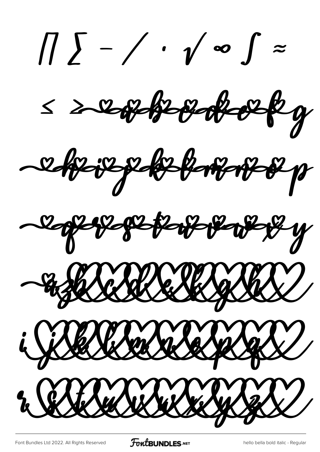*∏ ∑ − ∕ ∙ √ ∞ ∫ ≈ ≤ ≥* e køvep keborer p Rope population of y - a falskelle Skip Salv i Siberberg Salade 2 Rubel Selver 1982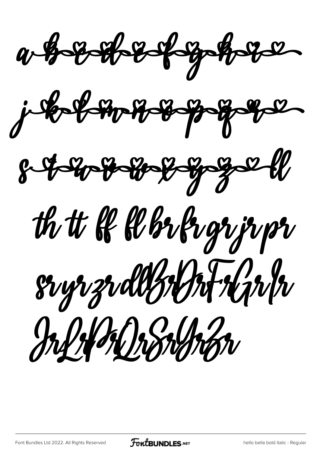



th tt & Whrkvgrjrpr sryrzrddysyntryntr Information

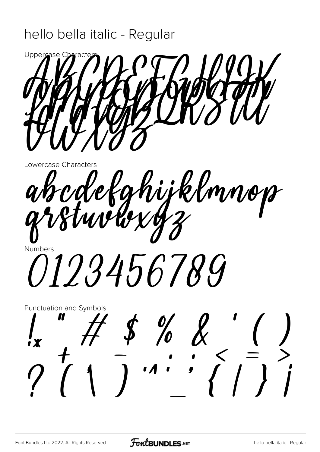#### hello bella italic - Regular



Lowercase Characters

abcdefghijklmnop Numbers

*0123456789* 

**Punctuation and Symbols**  $\begin{array}{c} \text{\$} \\ \text{\$} \\ \text{\$} \\ \text{\$} \\ \text{\$} \\ \text{\$} \\ \text{\$} \\ \text{\$} \\ \text{\$} \\ \text{\$} \\ \text{\$} \\ \text{\$} \\ \text{\$} \\ \text{\$} \\ \text{\$} \\ \text{\$} \\ \text{\$} \\ \text{\$} \\ \text{\$} \\ \text{\$} \\ \text{\$} \\ \text{\$} \\ \text{\$} \\ \text{\$} \\ \text{\$} \\ \text{\$} \\ \text{\$} \\ \text{\$} \\ \text{\$} \\ \text{\$} \\ \text{\$} \\ \text{\$} \\ \text{\$} \\ \text{\$} \\ \text{\$} \\ \text{\$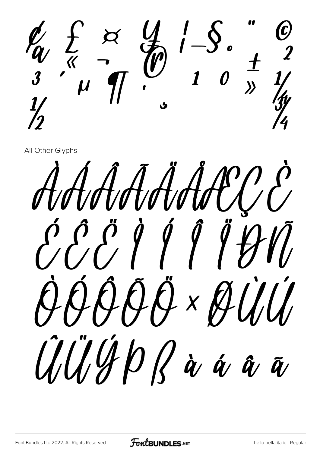$\sum_{k=1}^{n}$  x  $\sum_{j=1}^{n}$ 

AAAAAAACCE 889999991 AAAAA × AUU UUHDRàáãã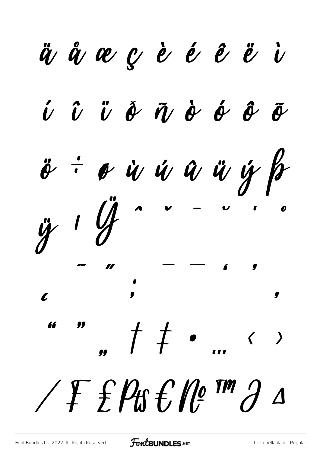ävåvæçèééè  $\hat{U}$   $\hat{U}$   $\hat{U}$   $\hat{\theta}$   $\hat{\theta}$   $\hat{\theta}$   $\hat{\theta}$   $\hat{\theta}$  $\tilde{\bm{\theta}}$  $\ddot{\theta}$ : o ù ú û ü ý fr  $\ddot{y}$  1  $\dot{\mathcal{U}}$ 0 0  $\frac{1}{\pi}$  $\rightarrow$  $\bigg\langle$  $\sqrt{F}$  f  $\beta$  f  $\beta$  f  $\beta$   $\beta$   $\beta$  $\Delta$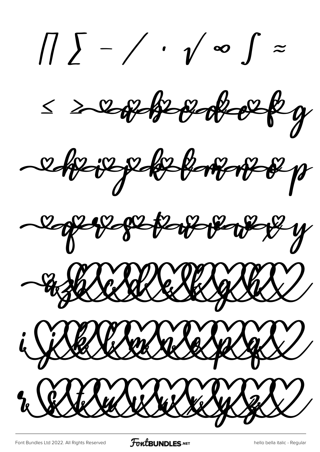*∏ ∑ − ∕ ∙ √ ∞ ∫ ≈ ≤ ≥* eftsjepfeltskompris Rope per per port - a falled le Salgbal i Siberleberleben 42 2 ESTE WERKER